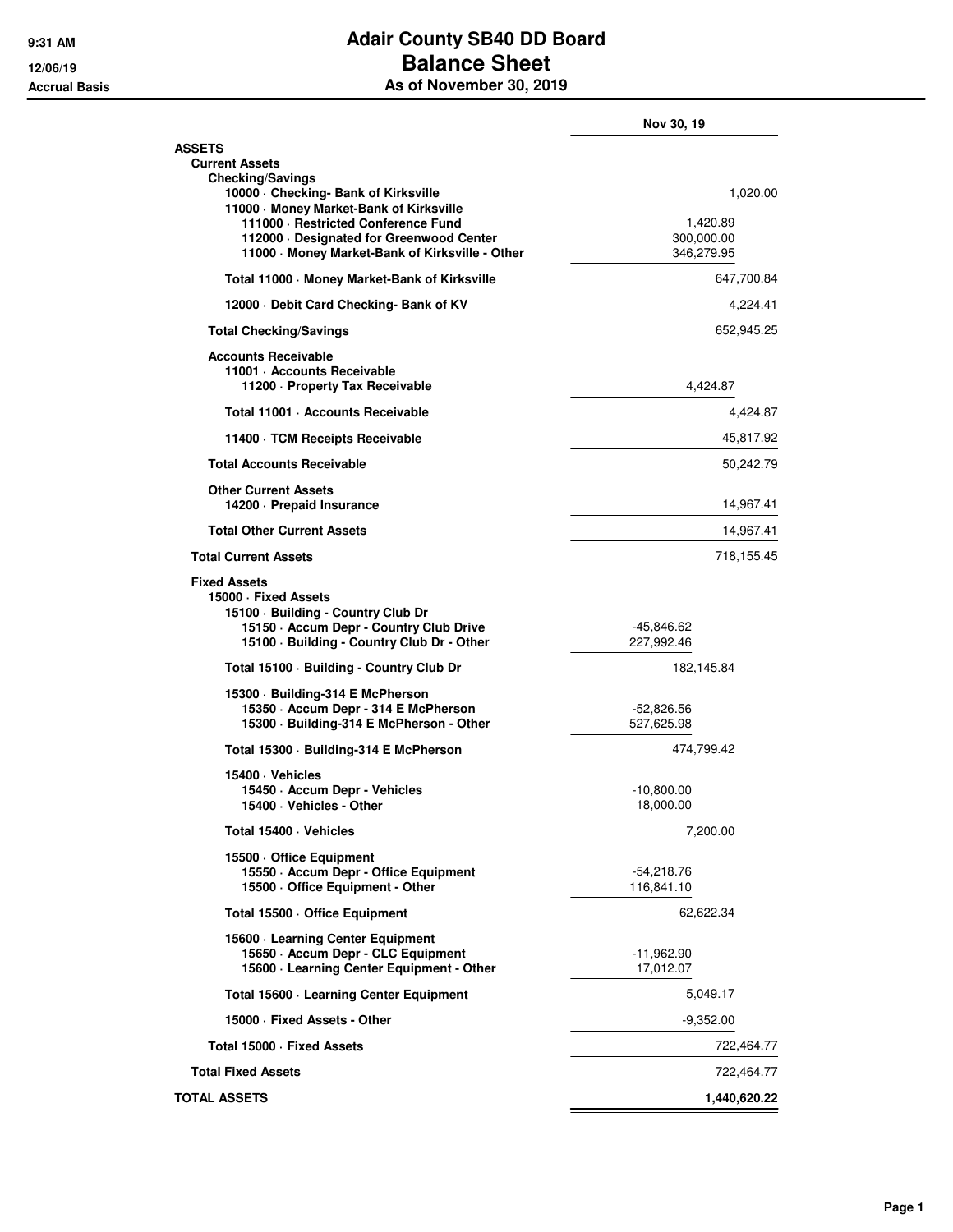## **9:31 AM Adair County SB40 DD Board 12/06/19 Balance Sheet Accrual Basis As of November 30, 2019**

|                                                                                                                                                                                                                                            | Nov 30, 19                                       |
|--------------------------------------------------------------------------------------------------------------------------------------------------------------------------------------------------------------------------------------------|--------------------------------------------------|
| <b>ASSETS</b><br><b>Current Assets</b>                                                                                                                                                                                                     |                                                  |
| <b>Checking/Savings</b><br>10000 - Checking- Bank of Kirksville<br>11000 Money Market-Bank of Kirksville<br>111000 - Restricted Conference Fund<br>112000 Designated for Greenwood Center<br>11000 Money Market-Bank of Kirksville - Other | 1,020.00<br>1,420.89<br>300,000.00<br>346,279.95 |
| Total 11000 Money Market-Bank of Kirksville                                                                                                                                                                                                | 647,700.84                                       |
| 12000 Debit Card Checking- Bank of KV                                                                                                                                                                                                      | 4,224.41                                         |
| <b>Total Checking/Savings</b>                                                                                                                                                                                                              | 652,945.25                                       |
| <b>Accounts Receivable</b><br>11001 - Accounts Receivable<br>11200 - Property Tax Receivable                                                                                                                                               | 4,424.87                                         |
| Total 11001 · Accounts Receivable                                                                                                                                                                                                          | 4,424.87                                         |
| 11400 TCM Receipts Receivable                                                                                                                                                                                                              | 45,817.92                                        |
| <b>Total Accounts Receivable</b>                                                                                                                                                                                                           | 50,242.79                                        |
| <b>Other Current Assets</b><br>14200 - Prepaid Insurance                                                                                                                                                                                   | 14,967.41                                        |
| <b>Total Other Current Assets</b>                                                                                                                                                                                                          | 14,967.41                                        |
| <b>Total Current Assets</b>                                                                                                                                                                                                                | 718,155.45                                       |
| <b>Fixed Assets</b><br>15000 · Fixed Assets<br>15100 · Building - Country Club Dr<br>15150 - Accum Depr - Country Club Drive<br>15100 · Building - Country Club Dr - Other                                                                 | -45,846.62<br>227,992.46                         |
| Total 15100 · Building - Country Club Dr                                                                                                                                                                                                   | 182,145.84                                       |
| 15300 Building-314 E McPherson<br>15350 - Accum Depr - 314 E McPherson<br>15300 · Building-314 E McPherson - Other                                                                                                                         | $-52,826.56$<br>527,625.98                       |
| Total 15300 · Building-314 E McPherson                                                                                                                                                                                                     | 474,799.42                                       |
| 15400 · Vehicles<br>15450 · Accum Depr - Vehicles<br>15400 · Vehicles - Other                                                                                                                                                              | -10,800.00<br>18,000.00                          |
| Total 15400 · Vehicles                                                                                                                                                                                                                     | 7,200.00                                         |
| 15500 Office Equipment<br>15550 - Accum Depr - Office Equipment<br>15500 Office Equipment - Other                                                                                                                                          | $-54,218.76$<br>116,841.10                       |
| Total 15500 · Office Equipment                                                                                                                                                                                                             | 62,622.34                                        |
| 15600 Learning Center Equipment<br>15650 - Accum Depr - CLC Equipment<br>15600 - Learning Center Equipment - Other                                                                                                                         | -11,962.90<br>17,012.07                          |
| Total 15600 - Learning Center Equipment                                                                                                                                                                                                    | 5,049.17                                         |
| 15000 · Fixed Assets - Other                                                                                                                                                                                                               | $-9,352.00$                                      |
| Total 15000 - Fixed Assets                                                                                                                                                                                                                 | 722,464.77                                       |
| <b>Total Fixed Assets</b>                                                                                                                                                                                                                  | 722,464.77                                       |
| <b>TOTAL ASSETS</b>                                                                                                                                                                                                                        | 1,440,620.22                                     |